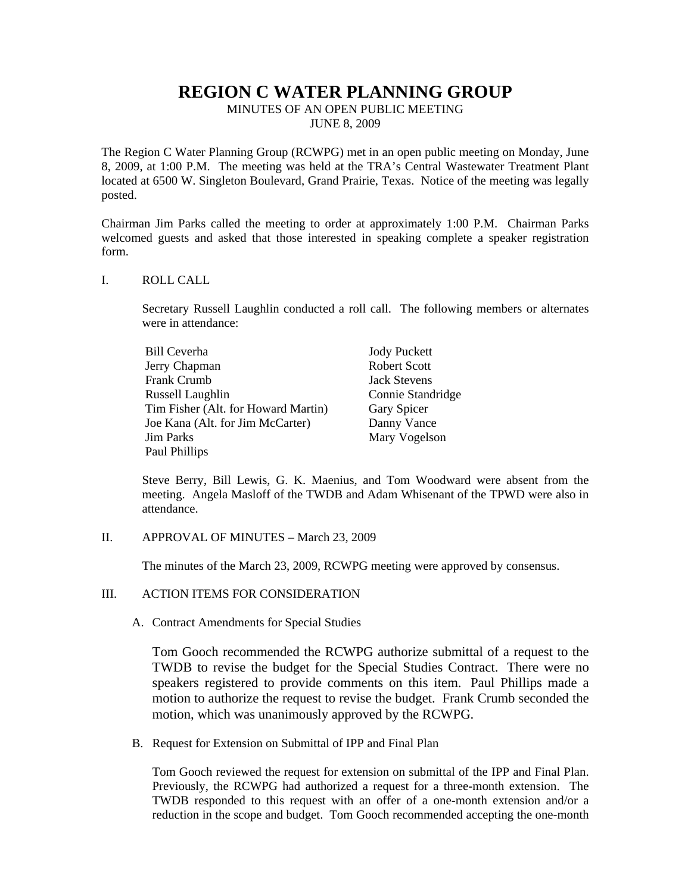# **REGION C WATER PLANNING GROUP**

MINUTES OF AN OPEN PUBLIC MEETING JUNE 8, 2009

The Region C Water Planning Group (RCWPG) met in an open public meeting on Monday, June 8, 2009, at 1:00 P.M. The meeting was held at the TRA's Central Wastewater Treatment Plant located at 6500 W. Singleton Boulevard, Grand Prairie, Texas. Notice of the meeting was legally posted.

Chairman Jim Parks called the meeting to order at approximately 1:00 P.M. Chairman Parks welcomed guests and asked that those interested in speaking complete a speaker registration form.

#### I. ROLL CALL

Secretary Russell Laughlin conducted a roll call. The following members or alternates were in attendance:

| Bill Ceverha                        | <b>Jody Puckett</b> |
|-------------------------------------|---------------------|
| Jerry Chapman                       | Robert Scott        |
| Frank Crumb                         | <b>Jack Stevens</b> |
| Russell Laughlin                    | Connie Standridge   |
| Tim Fisher (Alt. for Howard Martin) | Gary Spicer         |
| Joe Kana (Alt. for Jim McCarter)    | Danny Vance         |
| <b>Jim Parks</b>                    | Mary Vogelson       |
| Paul Phillips                       |                     |

Steve Berry, Bill Lewis, G. K. Maenius, and Tom Woodward were absent from the meeting. Angela Masloff of the TWDB and Adam Whisenant of the TPWD were also in attendance.

II. APPROVAL OF MINUTES – March 23, 2009

The minutes of the March 23, 2009, RCWPG meeting were approved by consensus.

#### III. ACTION ITEMS FOR CONSIDERATION

A. Contract Amendments for Special Studies

Tom Gooch recommended the RCWPG authorize submittal of a request to the TWDB to revise the budget for the Special Studies Contract. There were no speakers registered to provide comments on this item. Paul Phillips made a motion to authorize the request to revise the budget. Frank Crumb seconded the motion, which was unanimously approved by the RCWPG.

B. Request for Extension on Submittal of IPP and Final Plan

Tom Gooch reviewed the request for extension on submittal of the IPP and Final Plan. Previously, the RCWPG had authorized a request for a three-month extension. The TWDB responded to this request with an offer of a one-month extension and/or a reduction in the scope and budget. Tom Gooch recommended accepting the one-month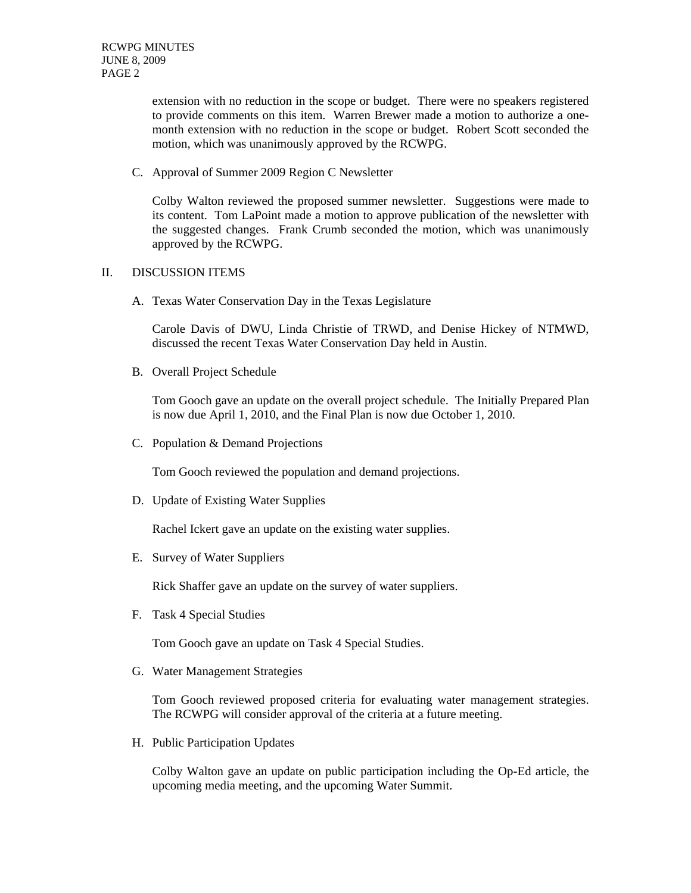extension with no reduction in the scope or budget. There were no speakers registered to provide comments on this item. Warren Brewer made a motion to authorize a onemonth extension with no reduction in the scope or budget. Robert Scott seconded the motion, which was unanimously approved by the RCWPG.

C. Approval of Summer 2009 Region C Newsletter

Colby Walton reviewed the proposed summer newsletter. Suggestions were made to its content. Tom LaPoint made a motion to approve publication of the newsletter with the suggested changes. Frank Crumb seconded the motion, which was unanimously approved by the RCWPG.

## II. DISCUSSION ITEMS

A. Texas Water Conservation Day in the Texas Legislature

Carole Davis of DWU, Linda Christie of TRWD, and Denise Hickey of NTMWD, discussed the recent Texas Water Conservation Day held in Austin.

B. Overall Project Schedule

Tom Gooch gave an update on the overall project schedule. The Initially Prepared Plan is now due April 1, 2010, and the Final Plan is now due October 1, 2010.

C. Population & Demand Projections

Tom Gooch reviewed the population and demand projections.

D. Update of Existing Water Supplies

Rachel Ickert gave an update on the existing water supplies.

E. Survey of Water Suppliers

Rick Shaffer gave an update on the survey of water suppliers.

F. Task 4 Special Studies

Tom Gooch gave an update on Task 4 Special Studies.

G. Water Management Strategies

Tom Gooch reviewed proposed criteria for evaluating water management strategies. The RCWPG will consider approval of the criteria at a future meeting.

H. Public Participation Updates

Colby Walton gave an update on public participation including the Op-Ed article, the upcoming media meeting, and the upcoming Water Summit.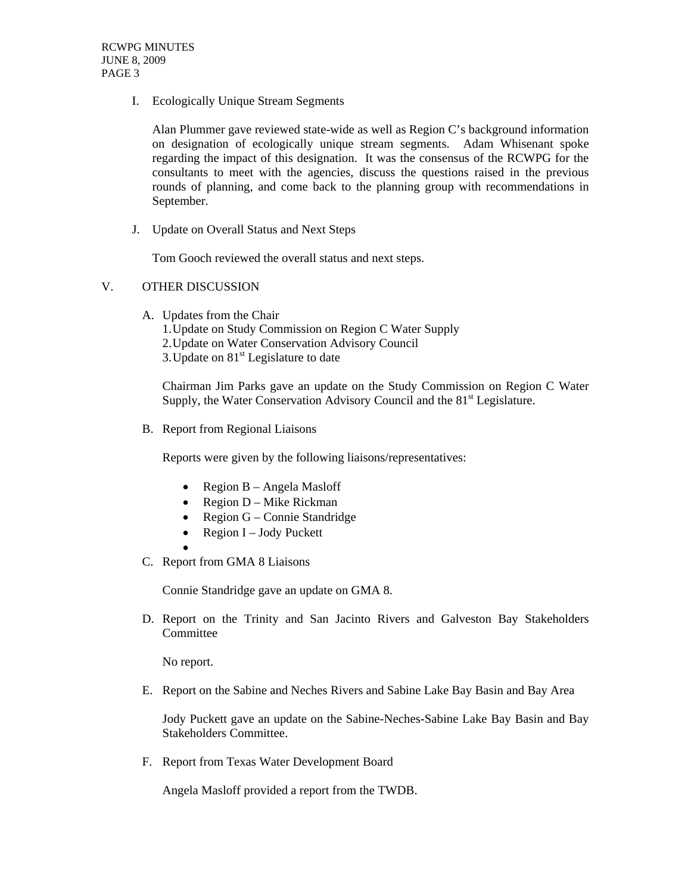I. Ecologically Unique Stream Segments

Alan Plummer gave reviewed state-wide as well as Region C's background information on designation of ecologically unique stream segments. Adam Whisenant spoke regarding the impact of this designation. It was the consensus of the RCWPG for the consultants to meet with the agencies, discuss the questions raised in the previous rounds of planning, and come back to the planning group with recommendations in September.

J. Update on Overall Status and Next Steps

Tom Gooch reviewed the overall status and next steps.

### V. OTHER DISCUSSION

- A. Updates from the Chair
	- 1. Update on Study Commission on Region C Water Supply
	- 2. Update on Water Conservation Advisory Council
	- 3. Update on  $81<sup>st</sup>$  Legislature to date

Chairman Jim Parks gave an update on the Study Commission on Region C Water Supply, the Water Conservation Advisory Council and the  $81<sup>st</sup>$  Legislature.

B. Report from Regional Liaisons

Reports were given by the following liaisons/representatives:

- Region B Angela Masloff
- Region D Mike Rickman
- Region G Connie Standridge
- Region  $I Jody$  Puckett
- •
- C. Report from GMA 8 Liaisons

Connie Standridge gave an update on GMA 8.

D. Report on the Trinity and San Jacinto Rivers and Galveston Bay Stakeholders Committee

No report.

E. Report on the Sabine and Neches Rivers and Sabine Lake Bay Basin and Bay Area

Jody Puckett gave an update on the Sabine-Neches-Sabine Lake Bay Basin and Bay Stakeholders Committee.

F. Report from Texas Water Development Board

Angela Masloff provided a report from the TWDB.